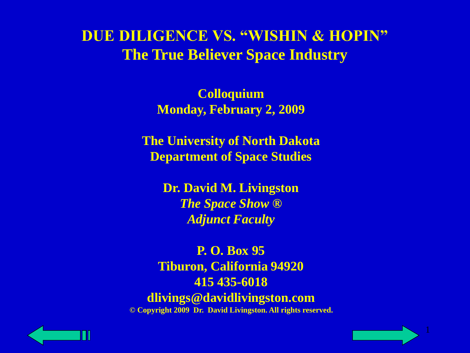**Colloquium Monday, February 2, 2009**

**The University of North Dakota Department of Space Studies**

> **Dr. David M. Livingston** *The Space Show ® Adjunct Faculty*

**P. O. Box 95 Tiburon, California 94920 415 435-6018 dlivings@davidlivingston.com © Copyright 2009 Dr. David Livingston. All rights reserved.**



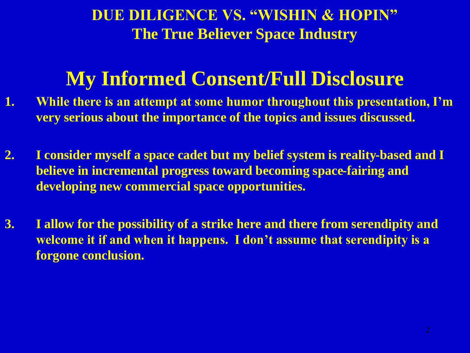# **My Informed Consent/Full Disclosure**

- **1. While there is an attempt at some humor throughout this presentation, I'm very serious about the importance of the topics and issues discussed.**
- **2. I consider myself a space cadet but my belief system is reality-based and I believe in incremental progress toward becoming space-fairing and developing new commercial space opportunities.**
- **3. I allow for the possibility of a strike here and there from serendipity and welcome it if and when it happens. I don't assume that serendipity is a forgone conclusion.**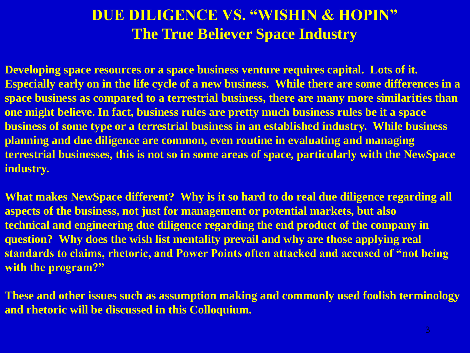**Developing space resources or a space business venture requires capital. Lots of it. Especially early on in the life cycle of a new business. While there are some differences in a space business as compared to a terrestrial business, there are many more similarities than one might believe. In fact, business rules are pretty much business rules be it a space business of some type or a terrestrial business in an established industry. While business planning and due diligence are common, even routine in evaluating and managing terrestrial businesses, this is not so in some areas of space, particularly with the NewSpace industry.**

**What makes NewSpace different? Why is it so hard to do real due diligence regarding all aspects of the business, not just for management or potential markets, but also technical and engineering due diligence regarding the end product of the company in question? Why does the wish list mentality prevail and why are those applying real standards to claims, rhetoric, and Power Points often attacked and accused of "not being with the program?"**

**These and other issues such as assumption making and commonly used foolish terminology and rhetoric will be discussed in this Colloquium.**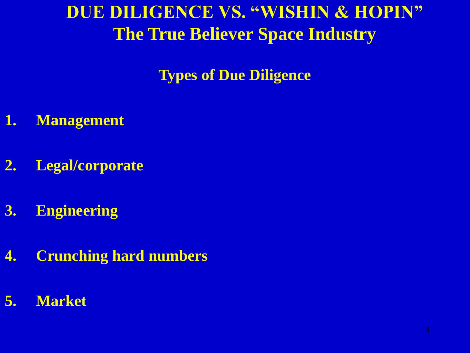**Types of Due Diligence**

- **1. Management**
- **2. Legal/corporate**
- **3. Engineering**
- **4. Crunching hard numbers**
- **5. Market**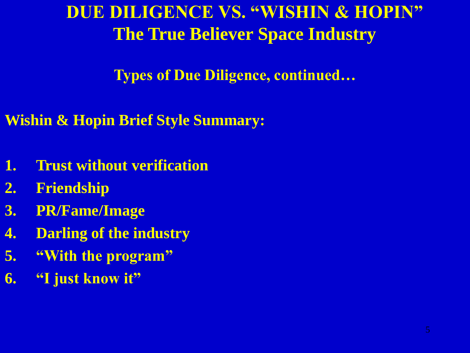**Types of Due Diligence, continued…**

**Wishin & Hopin Brief Style Summary:**

- **1. Trust without verification**
- **2. Friendship**
- **3. PR/Fame/Image**
- **4. Darling of the industry**
- **5. "With the program"**
- **6. "I just know it"**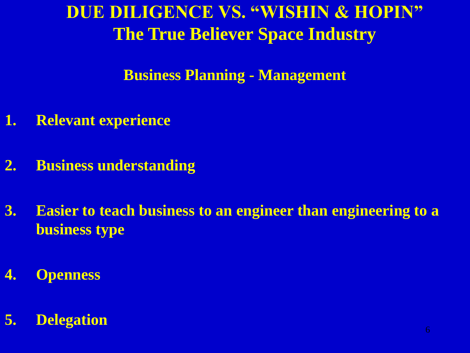**Business Planning - Management**

- **1. Relevant experience**
- **2. Business understanding**
- **3. Easier to teach business to an engineer than engineering to a business type**
- **4. Openness**

#### **5. Delegation**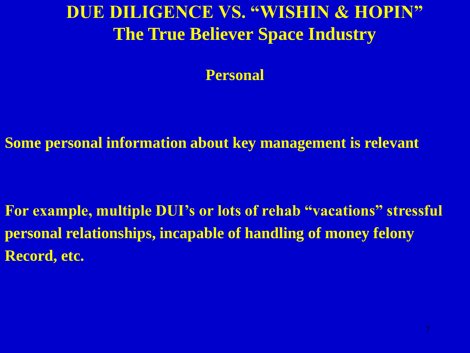**Personal**

**Some personal information about key management is relevant**

**For example, multiple DUI's or lots of rehab "vacations" stressful personal relationships, incapable of handling of money felony Record, etc.**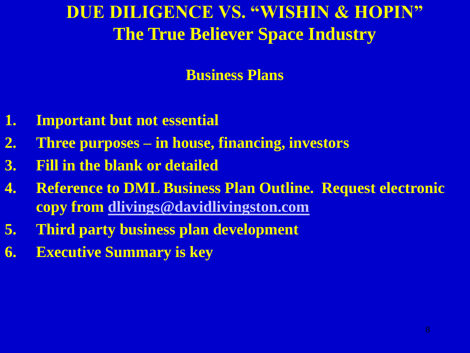#### **Business Plans**

- **1. Important but not essential**
- **2. Three purposes – in house, financing, investors**
- **3. Fill in the blank or detailed**
- **4. Reference to DML Business Plan Outline. Request electronic copy from [dlivings@davidlivingston.com](mailto:dlivings@davidlivingston.com)**
- **5. Third party business plan development**
- **6. Executive Summary is key**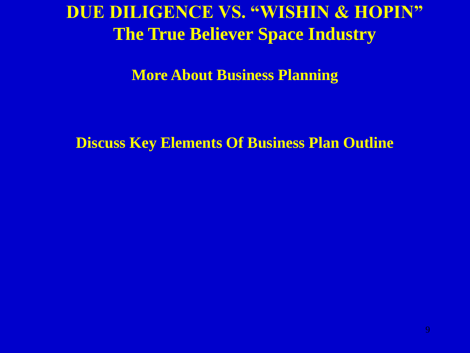**More About Business Planning**

**Discuss Key Elements Of Business Plan Outline**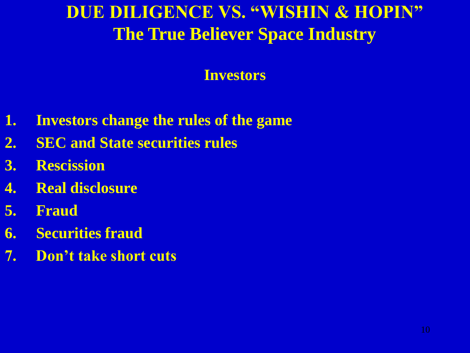#### **Investors**

- **1. Investors change the rules of the game**
- **2. SEC and State securities rules**
- **3. Rescission**
- **4. Real disclosure**
- **5. Fraud**
- **6. Securities fraud**
- **7. Don't take short cuts**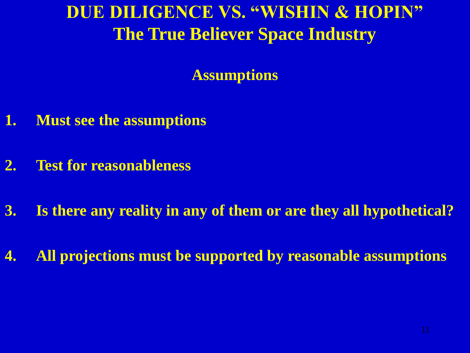**Assumptions**

- **1. Must see the assumptions**
- **2. Test for reasonableness**
- **3. Is there any reality in any of them or are they all hypothetical?**
- **4. All projections must be supported by reasonable assumptions**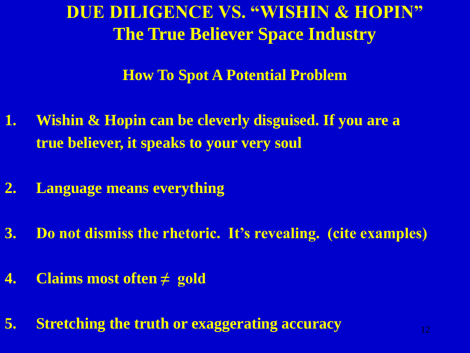#### **How To Spot A Potential Problem**

- **1. Wishin & Hopin can be cleverly disguised. If you are a true believer, it speaks to your very soul**
- **2. Language means everything**
- **3. Do not dismiss the rhetoric. It's revealing. (cite examples)**
- **4. Claims most often ≠ gold**
- **5. Stretching the truth or exaggerating accuracy**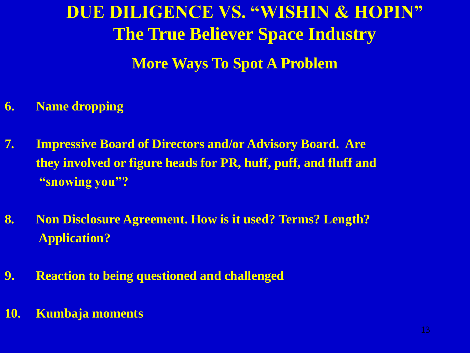**DUE DILIGENCE VS. "WISHIN & HOPIN" The True Believer Space Industry More Ways To Spot A Problem**

- **6. Name dropping**
- **7. Impressive Board of Directors and/or Advisory Board. Are they involved or figure heads for PR, huff, puff, and fluff and "snowing you"?**
- **8. Non Disclosure Agreement. How is it used? Terms? Length? Application?**
- **9. Reaction to being questioned and challenged**
- **10. Kumbaja moments**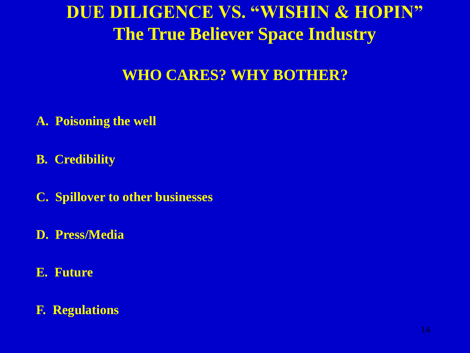#### **WHO CARES? WHY BOTHER?**

- **A. Poisoning the well**
- **B. Credibility**
- **C. Spillover to other businesses**
- **D. Press/Media**
- **E. Future**

#### **F. Regulations**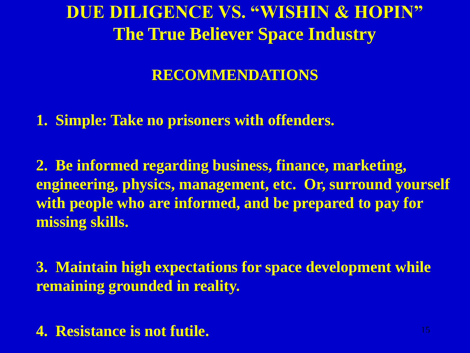#### **RECOMMENDATIONS**

**1. Simple: Take no prisoners with offenders.**

**2. Be informed regarding business, finance, marketing, engineering, physics, management, etc. Or, surround yourself with people who are informed, and be prepared to pay for missing skills.**

**3. Maintain high expectations for space development while remaining grounded in reality.**

**4. Resistance is not futile.**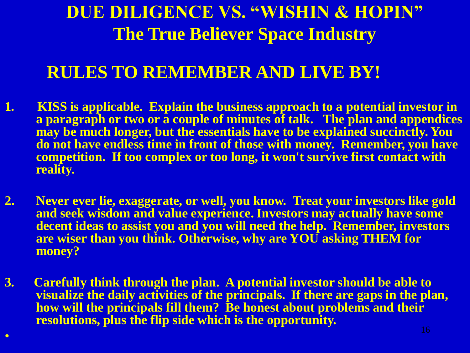#### **RULES TO REMEMBER AND LIVE BY!**

- **1. KISS is applicable. Explain the business approach to a potential investor in a paragraph or two or a couple of minutes of talk. The plan and appendices**  may be much longer, but the essentials have to be explained succinctly. You **do not have endless time in front of those with money. Remember, you have competition. If too complex or too long, it won't survive first contact with reality.**
- **2. Never ever lie, exaggerate, or well, you know. Treat your investors like gold and seek wisdom and value experience. Investors may actually have some decent ideas to assist you and you will need the help. Remember, investors are wiser than you think. Otherwise, why are YOU asking THEM for money?**
- **3. Carefully think through the plan. A potential investor should be able to visualize the daily activities of the principals. If there are gaps in the plan, how will the principals fill them? Be honest about problems and their resolutions, plus the flip side which is the opportunity.**

 $\bullet$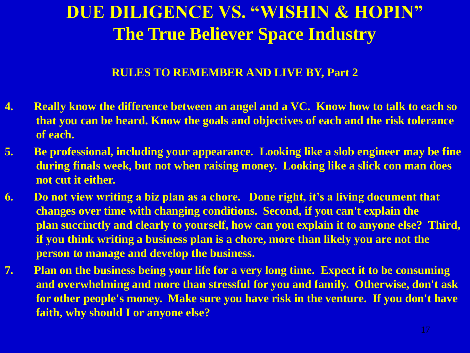#### **RULES TO REMEMBER AND LIVE BY, Part 2**

- **4. Really know the difference between an angel and a VC. Know how to talk to each so that you can be heard. Know the goals and objectives of each and the risk tolerance of each.**
- **5. Be professional, including your appearance. Looking like a slob engineer may be fine during finals week, but not when raising money. Looking like a slick con man does not cut it either.**
- **6. Do not view writing a biz plan as a chore. Done right, it's a living document that changes over time with changing conditions. Second, if you can't explain the plan succinctly and clearly to yourself, how can you explain it to anyone else? Third, if you think writing a business plan is a chore, more than likely you are not the person to manage and develop the business.**
- **7. Plan on the business being your life for a very long time. Expect it to be consuming and overwhelming and more than stressful for you and family. Otherwise, don't ask for other people's money. Make sure you have risk in the venture. If you don't have faith, why should I or anyone else?**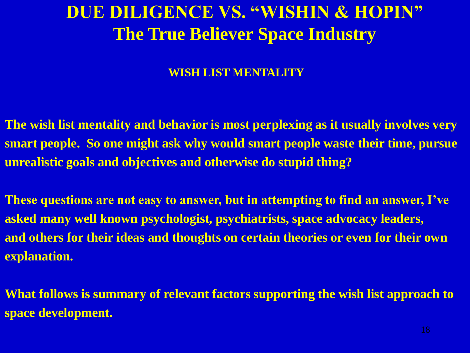#### **WISH LIST MENTALITY**

**The wish list mentality and behavior is most perplexing as it usually involves very smart people. So one might ask why would smart people waste their time, pursue unrealistic goals and objectives and otherwise do stupid thing?** 

**These questions are not easy to answer, but in attempting to find an answer, I've asked many well known psychologist, psychiatrists, space advocacy leaders, and others for their ideas and thoughts on certain theories or even for their own explanation.**

**What follows is summary of relevant factors supporting the wish list approach to space development.**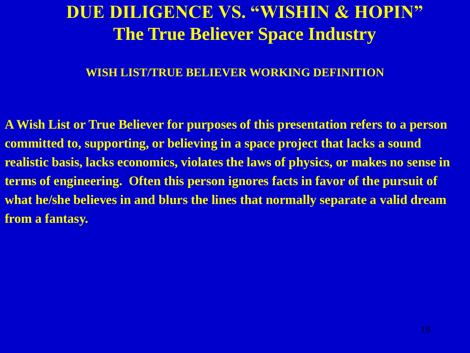#### **WISH LIST/TRUE BELIEVER WORKING DEFINITION**

**A Wish List or True Believer for purposes of this presentation refers to a person committed to, supporting, or believing in a space project that lacks a sound realistic basis, lacks economics, violates the laws of physics, or makes no sense in terms of engineering. Often this person ignores facts in favor of the pursuit of what he/she believes in and blurs the lines that normally separate a valid dream from a fantasy.**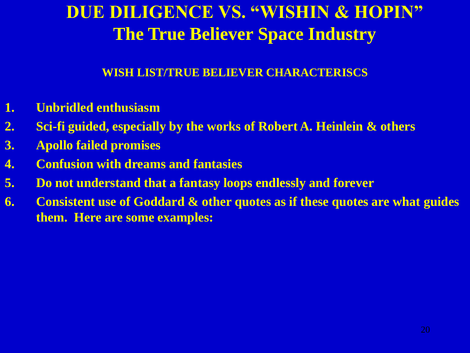#### **WISH LIST/TRUE BELIEVER CHARACTERISCS**

- **1. Unbridled enthusiasm**
- **2. Sci-fi guided, especially by the works of Robert A. Heinlein & others**
- **3. Apollo failed promises**
- **4. Confusion with dreams and fantasies**
- **5. Do not understand that a fantasy loops endlessly and forever**
- **6. Consistent use of Goddard & other quotes as if these quotes are what guides them. Here are some examples:**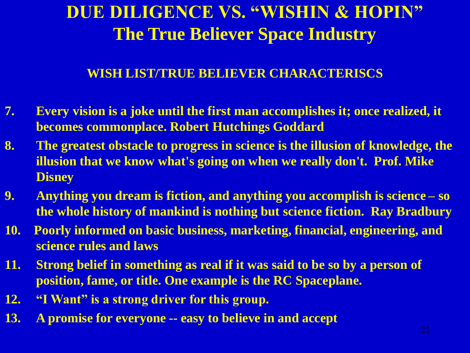#### **WISH LIST/TRUE BELIEVER CHARACTERISCS**

- **7. Every vision is a joke until the first man accomplishes it; once realized, it becomes commonplace. Robert Hutchings Goddard**
- **8. The greatest obstacle to progress in science is the illusion of knowledge, the illusion that we know what's going on when we really don't. Prof. Mike Disney**
- **9. Anything you dream is fiction, and anything you accomplish is science – so the whole history of mankind is nothing but science fiction. Ray Bradbury**
- **10. Poorly informed on basic business, marketing, financial, engineering, and science rules and laws**
- **11. Strong belief in something as real if it was said to be so by a person of position, fame, or title. One example is the RC Spaceplane.**
- **12. "I Want" is a strong driver for this group.**
- **13. A promise for everyone -- easy to believe in and accept**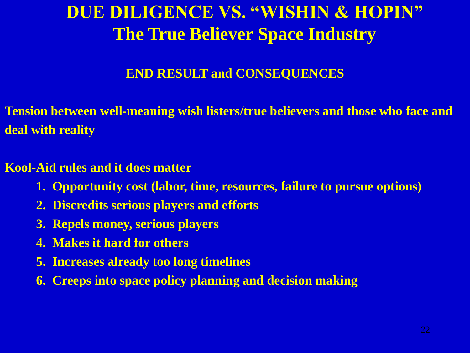#### **END RESULT and CONSEQUENCES**

**Tension between well-meaning wish listers/true believers and those who face and deal with reality**

#### **Kool-Aid rules and it does matter**

- **1. Opportunity cost (labor, time, resources, failure to pursue options)**
- **2. Discredits serious players and efforts**
- **3. Repels money, serious players**
- **4. Makes it hard for others**
- **5. Increases already too long timelines**
- **6. Creeps into space policy planning and decision making**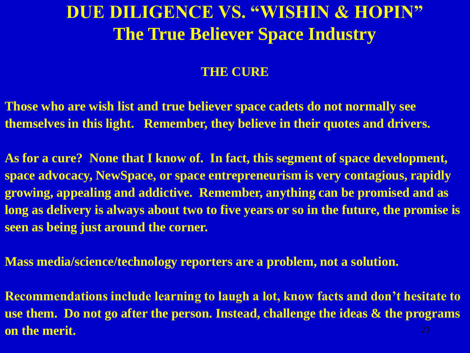#### **THE CURE**

**Those who are wish list and true believer space cadets do not normally see themselves in this light. Remember, they believe in their quotes and drivers.**

**As for a cure? None that I know of. In fact, this segment of space development, space advocacy, NewSpace, or space entrepreneurism is very contagious, rapidly growing, appealing and addictive. Remember, anything can be promised and as long as delivery is always about two to five years or so in the future, the promise is seen as being just around the corner.**

**Mass media/science/technology reporters are a problem, not a solution.** 

**Recommendations include learning to laugh a lot, know facts and don't hesitate to use them. Do not go after the person. Instead, challenge the ideas & the programs on the merit.**